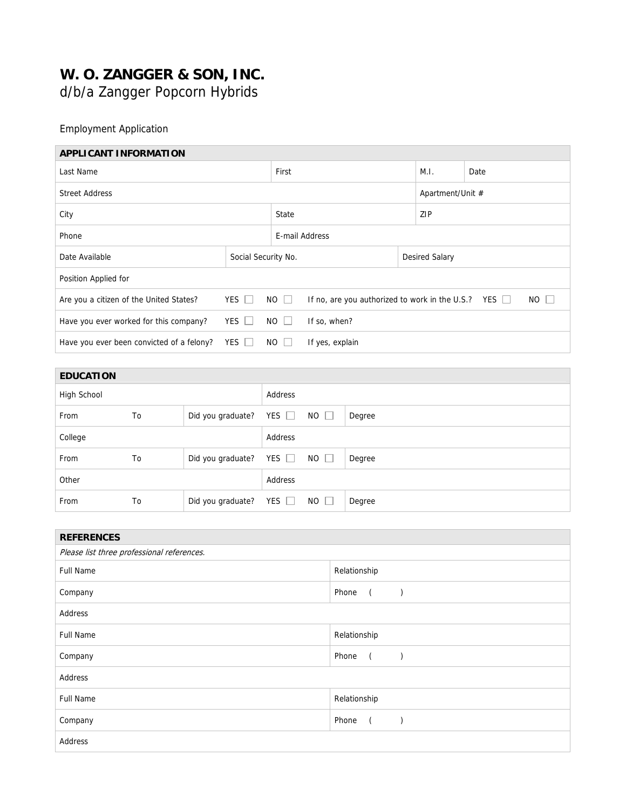## **W. O. ZANGGER & SON, INC.**

d/b/a Zangger Popcorn Hybrids

## Employment Application

| <b>APPLICANT INFORMATION</b>              |              |                                                                          |                 |  |                |                  |             |  |
|-------------------------------------------|--------------|--------------------------------------------------------------------------|-----------------|--|----------------|------------------|-------------|--|
| Last Name                                 |              |                                                                          | First           |  |                | Date             |             |  |
| <b>Street Address</b>                     |              |                                                                          |                 |  |                | Apartment/Unit # |             |  |
| City                                      |              |                                                                          | State           |  |                | ZIP              |             |  |
| Phone                                     |              |                                                                          | E-mail Address  |  |                |                  |             |  |
| Date Available                            |              | Social Security No.                                                      |                 |  | Desired Salary |                  |             |  |
| Position Applied for                      |              |                                                                          |                 |  |                |                  |             |  |
| Are you a citizen of the United States?   | YES $\Box$   | $NO$ $\Box$<br>If no, are you authorized to work in the U.S.? YES $\Box$ |                 |  |                |                  | $NO$ $\Box$ |  |
| Have you ever worked for this company?    | $YES$ $\Box$ | $NO$ $\Box$                                                              | If so, when?    |  |                |                  |             |  |
| Have you ever been convicted of a felony? | $YES$ $\Box$ | $NO$ $ $                                                                 | If yes, explain |  |                |                  |             |  |

| <b>EDUCATION</b> |    |                   |               |             |        |
|------------------|----|-------------------|---------------|-------------|--------|
| High School      |    |                   | Address       |             |        |
| From             | To | Did you graduate? | YES $\square$ | $NO$ $\Box$ | Degree |
| College          |    |                   | Address       |             |        |
| From             | To | Did you graduate? | YES $\Box$    | $NO$ $\Box$ | Degree |
| Other            |    |                   | Address       |             |        |
| From             | To | Did you graduate? | YES $\Box$    | $NO$ $\Box$ | Degree |

| <b>REFERENCES</b>                          |                                      |  |  |  |  |
|--------------------------------------------|--------------------------------------|--|--|--|--|
| Please list three professional references. |                                      |  |  |  |  |
| <b>Full Name</b>                           | Relationship                         |  |  |  |  |
| Company                                    | Phone<br>$\sqrt{2}$                  |  |  |  |  |
| Address                                    |                                      |  |  |  |  |
| <b>Full Name</b>                           | Relationship                         |  |  |  |  |
| Company                                    | Phone<br>$\overline{a}$<br>$\lambda$ |  |  |  |  |
| Address                                    |                                      |  |  |  |  |
| <b>Full Name</b>                           | Relationship                         |  |  |  |  |
| Company                                    | Phone<br>$\left($<br>$\lambda$       |  |  |  |  |
| Address                                    |                                      |  |  |  |  |